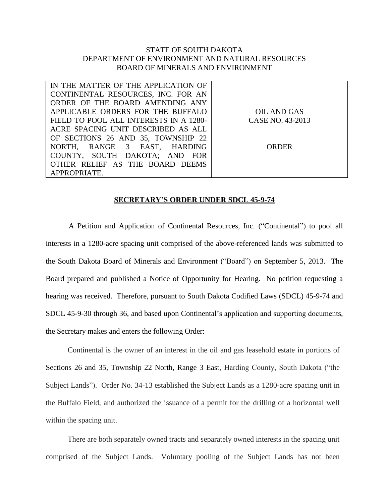## STATE OF SOUTH DAKOTA DEPARTMENT OF ENVIRONMENT AND NATURAL RESOURCES BOARD OF MINERALS AND ENVIRONMENT

| IN THE MATTER OF THE APPLICATION OF    |                  |
|----------------------------------------|------------------|
| CONTINENTAL RESOURCES, INC. FOR AN     |                  |
| ORDER OF THE BOARD AMENDING ANY        |                  |
| APPLICABLE ORDERS FOR THE BUFFALO      | OIL AND GAS      |
| FIELD TO POOL ALL INTERESTS IN A 1280- | CASE NO. 43-2013 |
| ACRE SPACING UNIT DESCRIBED AS ALL     |                  |
| OF SECTIONS 26 AND 35, TOWNSHIP 22     |                  |
| NORTH, RANGE 3 EAST, HARDING           | <b>ORDER</b>     |
| COUNTY, SOUTH DAKOTA; AND FOR          |                  |
| OTHER RELIEF AS THE BOARD DEEMS        |                  |
| APPROPRIATE.                           |                  |

## **SECRETARY'S ORDER UNDER SDCL 45-9-74**

A Petition and Application of Continental Resources, Inc. ("Continental") to pool all interests in a 1280-acre spacing unit comprised of the above-referenced lands was submitted to the South Dakota Board of Minerals and Environment ("Board") on September 5, 2013. The Board prepared and published a Notice of Opportunity for Hearing. No petition requesting a hearing was received. Therefore, pursuant to South Dakota Codified Laws (SDCL) 45-9-74 and SDCL 45-9-30 through 36, and based upon Continental's application and supporting documents, the Secretary makes and enters the following Order:

Continental is the owner of an interest in the oil and gas leasehold estate in portions of Sections 26 and 35, Township 22 North, Range 3 East, Harding County, South Dakota ("the Subject Lands"). Order No. 34-13 established the Subject Lands as a 1280-acre spacing unit in the Buffalo Field, and authorized the issuance of a permit for the drilling of a horizontal well within the spacing unit.

There are both separately owned tracts and separately owned interests in the spacing unit comprised of the Subject Lands. Voluntary pooling of the Subject Lands has not been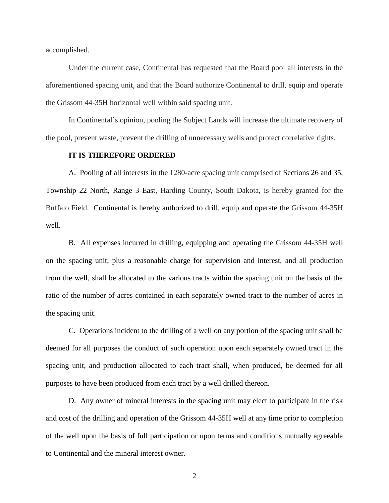accomplished.

Under the current case, Continental has requested that the Board pool all interests in the aforementioned spacing unit, and that the Board authorize Continental to drill, equip and operate the Grissom 44-35H horizontal well within said spacing unit.

In Continental's opinion, pooling the Subject Lands will increase the ultimate recovery of the pool, prevent waste, prevent the drilling of unnecessary wells and protect correlative rights.

## **IT IS THEREFORE ORDERED**

A. Pooling of all interests in the 1280-acre spacing unit comprised of Sections 26 and 35, Township 22 North, Range 3 East, Harding County, South Dakota, is hereby granted for the Buffalo Field. Continental is hereby authorized to drill, equip and operate the Grissom 44-35H well.

B. All expenses incurred in drilling, equipping and operating the Grissom 44-35H well on the spacing unit, plus a reasonable charge for supervision and interest, and all production from the well, shall be allocated to the various tracts within the spacing unit on the basis of the ratio of the number of acres contained in each separately owned tract to the number of acres in the spacing unit.

C. Operations incident to the drilling of a well on any portion of the spacing unit shall be deemed for all purposes the conduct of such operation upon each separately owned tract in the spacing unit, and production allocated to each tract shall, when produced, be deemed for all purposes to have been produced from each tract by a well drilled thereon.

D. Any owner of mineral interests in the spacing unit may elect to participate in the risk and cost of the drilling and operation of the Grissom 44-35H well at any time prior to completion of the well upon the basis of full participation or upon terms and conditions mutually agreeable to Continental and the mineral interest owner.